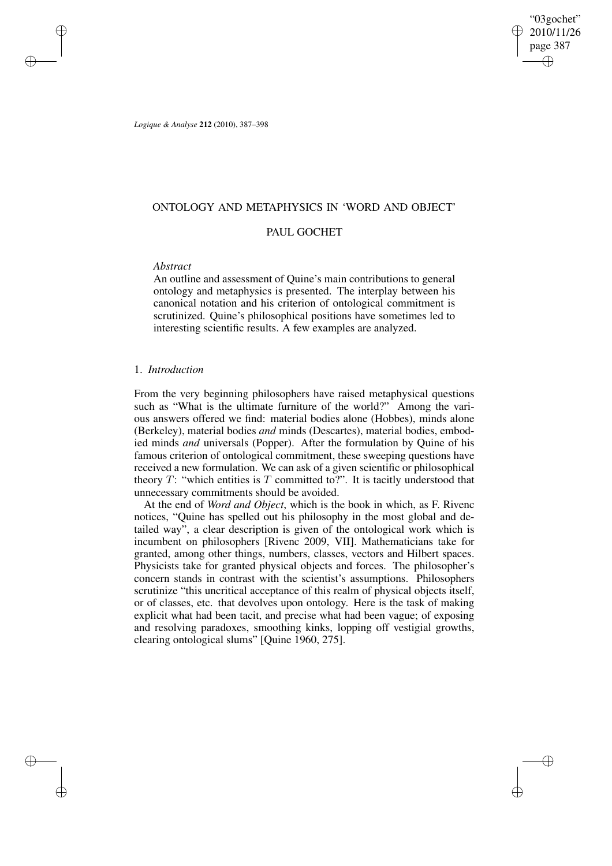"03gochet" 2010/11/26 page 387 ✐ ✐

✐

✐

*Logique & Analyse* **212** (2010), 387–398

# ONTOLOGY AND METAPHYSICS IN 'WORD AND OBJECT'

# PAUL GOCHET

## *Abstract*

✐

✐

✐

✐

An outline and assessment of Quine's main contributions to general ontology and metaphysics is presented. The interplay between his canonical notation and his criterion of ontological commitment is scrutinized. Quine's philosophical positions have sometimes led to interesting scientific results. A few examples are analyzed.

# 1. *Introduction*

From the very beginning philosophers have raised metaphysical questions such as "What is the ultimate furniture of the world?" Among the various answers offered we find: material bodies alone (Hobbes), minds alone (Berkeley), material bodies *and* minds (Descartes), material bodies, embodied minds *and* universals (Popper). After the formulation by Quine of his famous criterion of ontological commitment, these sweeping questions have received a new formulation. We can ask of a given scientific or philosophical theory  $T$ : "which entities is  $T$  committed to?". It is tacitly understood that unnecessary commitments should be avoided.

At the end of *Word and Object*, which is the book in which, as F. Rivenc notices, "Quine has spelled out his philosophy in the most global and detailed way", a clear description is given of the ontological work which is incumbent on philosophers [Rivenc 2009, VII]. Mathematicians take for granted, among other things, numbers, classes, vectors and Hilbert spaces. Physicists take for granted physical objects and forces. The philosopher's concern stands in contrast with the scientist's assumptions. Philosophers scrutinize "this uncritical acceptance of this realm of physical objects itself, or of classes, etc. that devolves upon ontology. Here is the task of making explicit what had been tacit, and precise what had been vague; of exposing and resolving paradoxes, smoothing kinks, lopping off vestigial growths, clearing ontological slums" [Quine 1960, 275].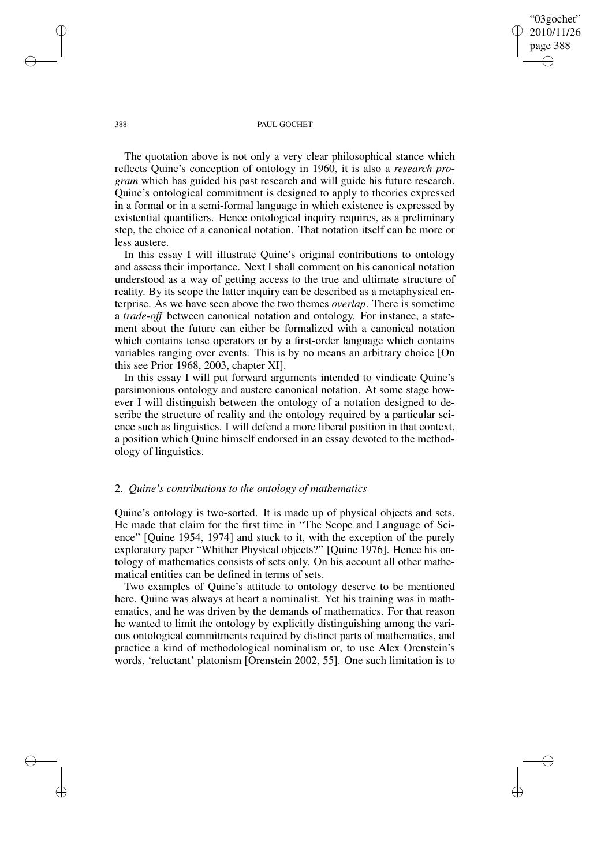"03gochet" 2010/11/26 page 388 ✐ ✐

✐

✐

#### 388 PAUL GOCHET

The quotation above is not only a very clear philosophical stance which reflects Quine's conception of ontology in 1960, it is also a *research program* which has guided his past research and will guide his future research. Quine's ontological commitment is designed to apply to theories expressed in a formal or in a semi-formal language in which existence is expressed by existential quantifiers. Hence ontological inquiry requires, as a preliminary step, the choice of a canonical notation. That notation itself can be more or less austere.

In this essay I will illustrate Quine's original contributions to ontology and assess their importance. Next I shall comment on his canonical notation understood as a way of getting access to the true and ultimate structure of reality. By its scope the latter inquiry can be described as a metaphysical enterprise. As we have seen above the two themes *overlap*. There is sometime a *trade-off* between canonical notation and ontology. For instance, a statement about the future can either be formalized with a canonical notation which contains tense operators or by a first-order language which contains variables ranging over events. This is by no means an arbitrary choice [On this see Prior 1968, 2003, chapter XI].

In this essay I will put forward arguments intended to vindicate Quine's parsimonious ontology and austere canonical notation. At some stage however I will distinguish between the ontology of a notation designed to describe the structure of reality and the ontology required by a particular science such as linguistics. I will defend a more liberal position in that context, a position which Quine himself endorsed in an essay devoted to the methodology of linguistics.

# 2. *Quine's contributions to the ontology of mathematics*

Quine's ontology is two-sorted. It is made up of physical objects and sets. He made that claim for the first time in "The Scope and Language of Science" [Quine 1954, 1974] and stuck to it, with the exception of the purely exploratory paper "Whither Physical objects?" [Quine 1976]. Hence his ontology of mathematics consists of sets only. On his account all other mathematical entities can be defined in terms of sets.

Two examples of Quine's attitude to ontology deserve to be mentioned here. Quine was always at heart a nominalist. Yet his training was in mathematics, and he was driven by the demands of mathematics. For that reason he wanted to limit the ontology by explicitly distinguishing among the various ontological commitments required by distinct parts of mathematics, and practice a kind of methodological nominalism or, to use Alex Orenstein's words, 'reluctant' platonism [Orenstein 2002, 55]. One such limitation is to

✐

✐

✐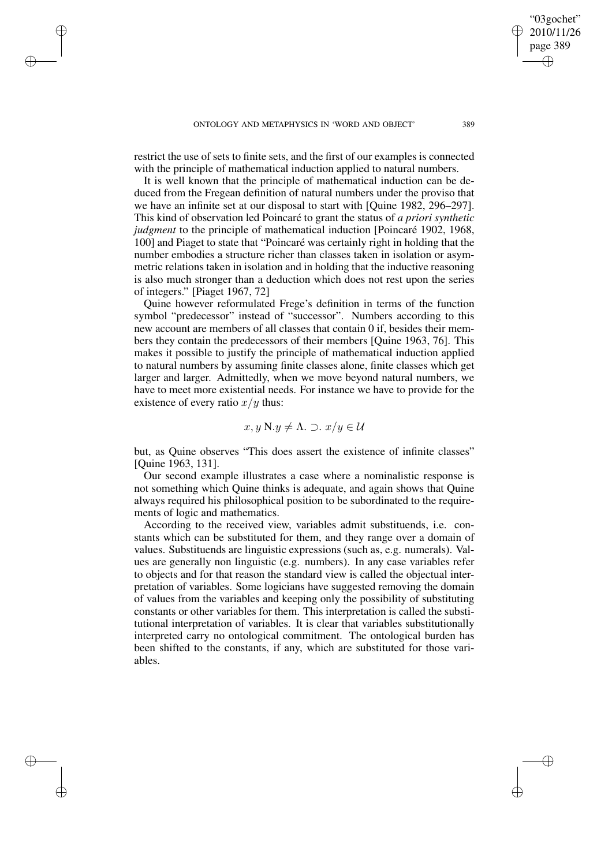✐

✐

✐

restrict the use of sets to finite sets, and the first of our examples is connected with the principle of mathematical induction applied to natural numbers.

It is well known that the principle of mathematical induction can be deduced from the Fregean definition of natural numbers under the proviso that we have an infinite set at our disposal to start with [Quine 1982, 296–297]. This kind of observation led Poincaré to grant the status of *a priori synthetic judgment* to the principle of mathematical induction [Poincaré 1902, 1968, 100] and Piaget to state that "Poincaré was certainly right in holding that the number embodies a structure richer than classes taken in isolation or asymmetric relations taken in isolation and in holding that the inductive reasoning is also much stronger than a deduction which does not rest upon the series of integers." [Piaget 1967, 72]

Quine however reformulated Frege's definition in terms of the function symbol "predecessor" instead of "successor". Numbers according to this new account are members of all classes that contain 0 if, besides their members they contain the predecessors of their members [Quine 1963, 76]. This makes it possible to justify the principle of mathematical induction applied to natural numbers by assuming finite classes alone, finite classes which get larger and larger. Admittedly, when we move beyond natural numbers, we have to meet more existential needs. For instance we have to provide for the existence of every ratio  $x/y$  thus:

$$
x, y \in \Lambda
$$
.  $\supset$ .  $x/y \in \mathcal{U}$ 

but, as Quine observes "This does assert the existence of infinite classes" [Quine 1963, 131].

Our second example illustrates a case where a nominalistic response is not something which Quine thinks is adequate, and again shows that Quine always required his philosophical position to be subordinated to the requirements of logic and mathematics.

According to the received view, variables admit substituends, i.e. constants which can be substituted for them, and they range over a domain of values. Substituends are linguistic expressions (such as, e.g. numerals). Values are generally non linguistic (e.g. numbers). In any case variables refer to objects and for that reason the standard view is called the objectual interpretation of variables. Some logicians have suggested removing the domain of values from the variables and keeping only the possibility of substituting constants or other variables for them. This interpretation is called the substitutional interpretation of variables. It is clear that variables substitutionally interpreted carry no ontological commitment. The ontological burden has been shifted to the constants, if any, which are substituted for those variables.

"03gochet" 2010/11/26 page 389

✐

✐

✐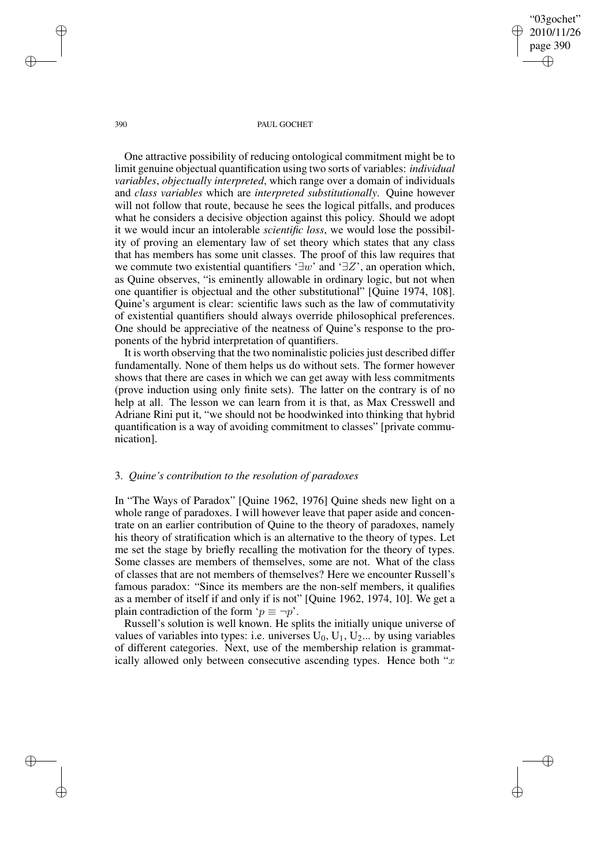"03gochet" 2010/11/26 page 390 ✐ ✐

✐

✐

#### 390 PAUL GOCHET

One attractive possibility of reducing ontological commitment might be to limit genuine objectual quantification using two sorts of variables: *individual variables*, *objectually interpreted*, which range over a domain of individuals and *class variables* which are *interpreted substitutionally*. Quine however will not follow that route, because he sees the logical pitfalls, and produces what he considers a decisive objection against this policy. Should we adopt it we would incur an intolerable *scientific loss*, we would lose the possibility of proving an elementary law of set theory which states that any class that has members has some unit classes. The proof of this law requires that we commute two existential quantifiers '∃w' and '∃Z', an operation which, as Quine observes, "is eminently allowable in ordinary logic, but not when one quantifier is objectual and the other substitutional" [Quine 1974, 108]. Quine's argument is clear: scientific laws such as the law of commutativity of existential quantifiers should always override philosophical preferences. One should be appreciative of the neatness of Quine's response to the proponents of the hybrid interpretation of quantifiers.

It is worth observing that the two nominalistic policies just described differ fundamentally. None of them helps us do without sets. The former however shows that there are cases in which we can get away with less commitments (prove induction using only finite sets). The latter on the contrary is of no help at all. The lesson we can learn from it is that, as Max Cresswell and Adriane Rini put it, "we should not be hoodwinked into thinking that hybrid quantification is a way of avoiding commitment to classes" [private communication].

## 3. *Quine's contribution to the resolution of paradoxes*

In "The Ways of Paradox" [Quine 1962, 1976] Quine sheds new light on a whole range of paradoxes. I will however leave that paper aside and concentrate on an earlier contribution of Quine to the theory of paradoxes, namely his theory of stratification which is an alternative to the theory of types. Let me set the stage by briefly recalling the motivation for the theory of types. Some classes are members of themselves, some are not. What of the class of classes that are not members of themselves? Here we encounter Russell's famous paradox: "Since its members are the non-self members, it qualifies as a member of itself if and only if is not" [Quine 1962, 1974, 10]. We get a plain contradiction of the form ' $p \equiv \neg p'$ .

Russell's solution is well known. He splits the initially unique universe of values of variables into types: i.e. universes  $U_0$ ,  $U_1$ ,  $U_2$ ... by using variables of different categories. Next, use of the membership relation is grammatically allowed only between consecutive ascending types. Hence both " $x$ "

✐

✐

✐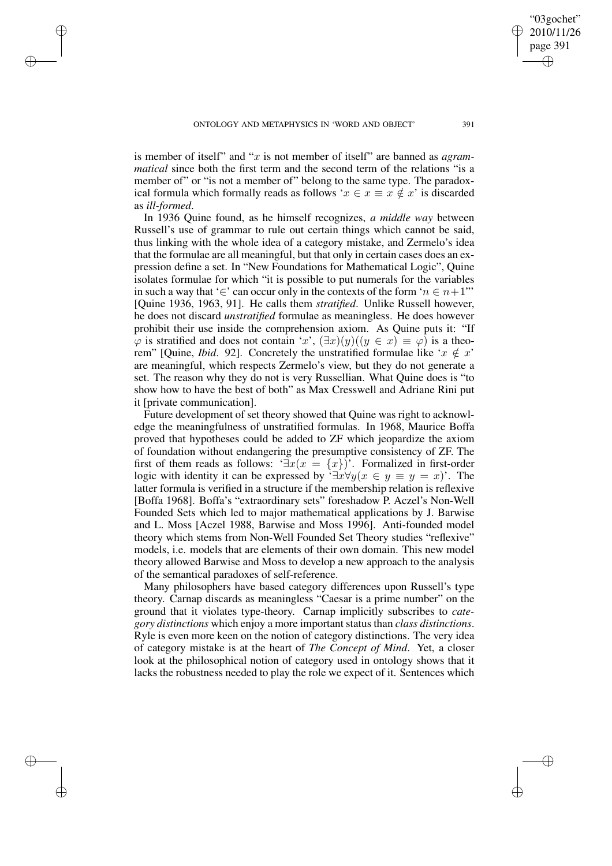✐

✐

✐

is member of itself" and "x is not member of itself" are banned as *agrammatical* since both the first term and the second term of the relations "is a member of" or "is not a member of" belong to the same type. The paradoxical formula which formally reads as follows ' $x \in x \equiv x \notin x$ ' is discarded as *ill-formed*.

In 1936 Quine found, as he himself recognizes, *a middle way* between Russell's use of grammar to rule out certain things which cannot be said, thus linking with the whole idea of a category mistake, and Zermelo's idea that the formulae are all meaningful, but that only in certain cases does an expression define a set. In "New Foundations for Mathematical Logic", Quine isolates formulae for which "it is possible to put numerals for the variables in such a way that '∈' can occur only in the contexts of the form ' $n \in n+1$ " [Quine 1936, 1963, 91]. He calls them *stratified*. Unlike Russell however, he does not discard *unstratified* formulae as meaningless. He does however prohibit their use inside the comprehension axiom. As Quine puts it: "If  $\varphi$  is stratified and does not contain 'x',  $(\exists x)(y)((y \in x) \equiv \varphi)$  is a theorem" [Quine, *Ibid.* 92]. Concretely the unstratified formulae like ' $x \notin x$ ' are meaningful, which respects Zermelo's view, but they do not generate a set. The reason why they do not is very Russellian. What Quine does is "to show how to have the best of both" as Max Cresswell and Adriane Rini put it [private communication].

Future development of set theory showed that Quine was right to acknowledge the meaningfulness of unstratified formulas. In 1968, Maurice Boffa proved that hypotheses could be added to ZF which jeopardize the axiom of foundation without endangering the presumptive consistency of ZF. The first of them reads as follows: ' $\exists x(x = \{x\})$ '. Formalized in first-order logic with identity it can be expressed by ' $\exists x \forall y (x \in y \equiv y = x)$ '. The latter formula is verified in a structure if the membership relation is reflexive [Boffa 1968]. Boffa's "extraordinary sets" foreshadow P. Aczel's Non-Well Founded Sets which led to major mathematical applications by J. Barwise and L. Moss [Aczel 1988, Barwise and Moss 1996]. Anti-founded model theory which stems from Non-Well Founded Set Theory studies "reflexive" models, i.e. models that are elements of their own domain. This new model theory allowed Barwise and Moss to develop a new approach to the analysis of the semantical paradoxes of self-reference.

Many philosophers have based category differences upon Russell's type theory. Carnap discards as meaningless "Caesar is a prime number" on the ground that it violates type-theory. Carnap implicitly subscribes to *category distinctions* which enjoy a more important status than *class distinctions*. Ryle is even more keen on the notion of category distinctions. The very idea of category mistake is at the heart of *The Concept of Mind*. Yet, a closer look at the philosophical notion of category used in ontology shows that it lacks the robustness needed to play the role we expect of it. Sentences which

"03gochet" 2010/11/26 page 391

✐

✐

✐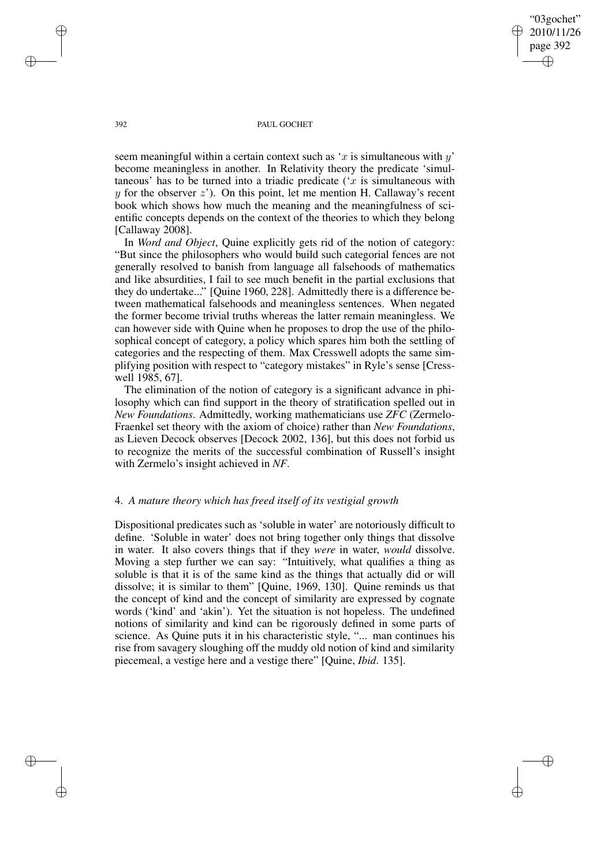"03gochet" 2010/11/26 page 392 ✐ ✐

✐

✐

#### 392 PAUL GOCHET

seem meaningful within a certain context such as 'x is simultaneous with  $y'$ become meaningless in another. In Relativity theory the predicate 'simultaneous' has to be turned into a triadic predicate ( $x$  is simultaneous with  $y$  for the observer  $z'$ ). On this point, let me mention H. Callaway's recent book which shows how much the meaning and the meaningfulness of scientific concepts depends on the context of the theories to which they belong [Callaway 2008].

In *Word and Object*, Quine explicitly gets rid of the notion of category: "But since the philosophers who would build such categorial fences are not generally resolved to banish from language all falsehoods of mathematics and like absurdities, I fail to see much benefit in the partial exclusions that they do undertake..." [Quine 1960, 228]. Admittedly there is a difference between mathematical falsehoods and meaningless sentences. When negated the former become trivial truths whereas the latter remain meaningless. We can however side with Quine when he proposes to drop the use of the philosophical concept of category, a policy which spares him both the settling of categories and the respecting of them. Max Cresswell adopts the same simplifying position with respect to "category mistakes" in Ryle's sense [Cresswell 1985, 67].

The elimination of the notion of category is a significant advance in philosophy which can find support in the theory of stratification spelled out in *New Foundations*. Admittedly, working mathematicians use *ZFC* (Zermelo-Fraenkel set theory with the axiom of choice) rather than *New Foundations*, as Lieven Decock observes [Decock 2002, 136], but this does not forbid us to recognize the merits of the successful combination of Russell's insight with Zermelo's insight achieved in *NF*.

# 4. *A mature theory which has freed itself of its vestigial growth*

Dispositional predicates such as 'soluble in water' are notoriously difficult to define. 'Soluble in water' does not bring together only things that dissolve in water. It also covers things that if they *were* in water, *would* dissolve. Moving a step further we can say: "Intuitively, what qualifies a thing as soluble is that it is of the same kind as the things that actually did or will dissolve; it is similar to them" [Quine, 1969, 130]. Quine reminds us that the concept of kind and the concept of similarity are expressed by cognate words ('kind' and 'akin'). Yet the situation is not hopeless. The undefined notions of similarity and kind can be rigorously defined in some parts of science. As Quine puts it in his characteristic style, "... man continues his rise from savagery sloughing off the muddy old notion of kind and similarity piecemeal, a vestige here and a vestige there" [Quine, *Ibid*. 135].

✐

✐

✐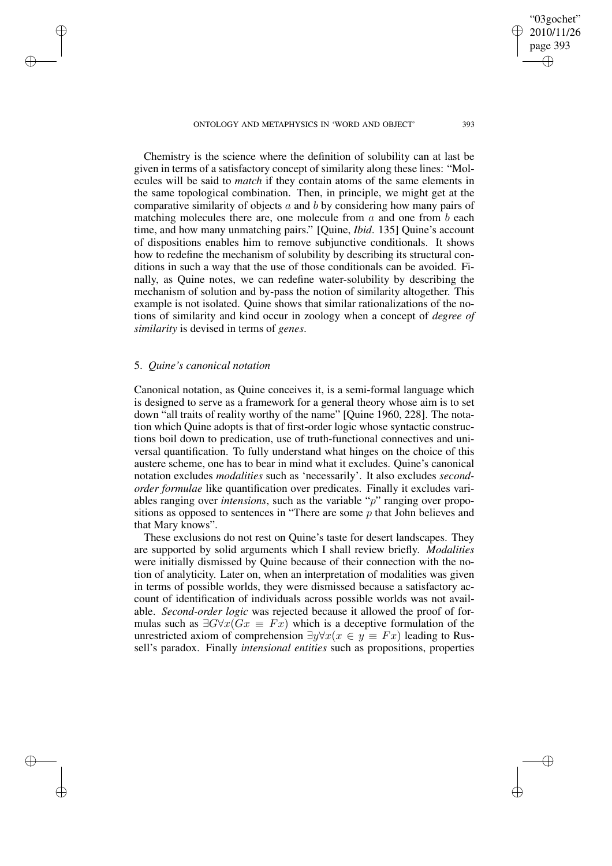ONTOLOGY AND METAPHYSICS IN 'WORD AND OBJECT' 393

Chemistry is the science where the definition of solubility can at last be given in terms of a satisfactory concept of similarity along these lines: "Molecules will be said to *match* if they contain atoms of the same elements in the same topological combination. Then, in principle, we might get at the comparative similarity of objects  $a$  and  $b$  by considering how many pairs of matching molecules there are, one molecule from  $a$  and one from  $b$  each time, and how many unmatching pairs." [Quine, *Ibid*. 135] Quine's account of dispositions enables him to remove subjunctive conditionals. It shows how to redefine the mechanism of solubility by describing its structural conditions in such a way that the use of those conditionals can be avoided. Finally, as Quine notes, we can redefine water-solubility by describing the mechanism of solution and by-pass the notion of similarity altogether. This example is not isolated. Quine shows that similar rationalizations of the notions of similarity and kind occur in zoology when a concept of *degree of similarity* is devised in terms of *genes*.

## 5. *Quine's canonical notation*

✐

✐

✐

✐

Canonical notation, as Quine conceives it, is a semi-formal language which is designed to serve as a framework for a general theory whose aim is to set down "all traits of reality worthy of the name" [Quine 1960, 228]. The notation which Quine adopts is that of first-order logic whose syntactic constructions boil down to predication, use of truth-functional connectives and universal quantification. To fully understand what hinges on the choice of this austere scheme, one has to bear in mind what it excludes. Quine's canonical notation excludes *modalities* such as 'necessarily'. It also excludes *secondorder formulae* like quantification over predicates. Finally it excludes variables ranging over *intensions*, such as the variable "p" ranging over propositions as opposed to sentences in "There are some  $p$  that John believes and that Mary knows".

These exclusions do not rest on Quine's taste for desert landscapes. They are supported by solid arguments which I shall review briefly. *Modalities* were initially dismissed by Quine because of their connection with the notion of analyticity. Later on, when an interpretation of modalities was given in terms of possible worlds, they were dismissed because a satisfactory account of identification of individuals across possible worlds was not available. *Second-order logic* was rejected because it allowed the proof of formulas such as  $\exists G \forall x (Gx \equiv Fx)$  which is a deceptive formulation of the unrestricted axiom of comprehension  $\exists y \forall x (x \in y \equiv Fx)$  leading to Russell's paradox. Finally *intensional entities* such as propositions, properties

"03gochet" 2010/11/26 page 393

✐

✐

✐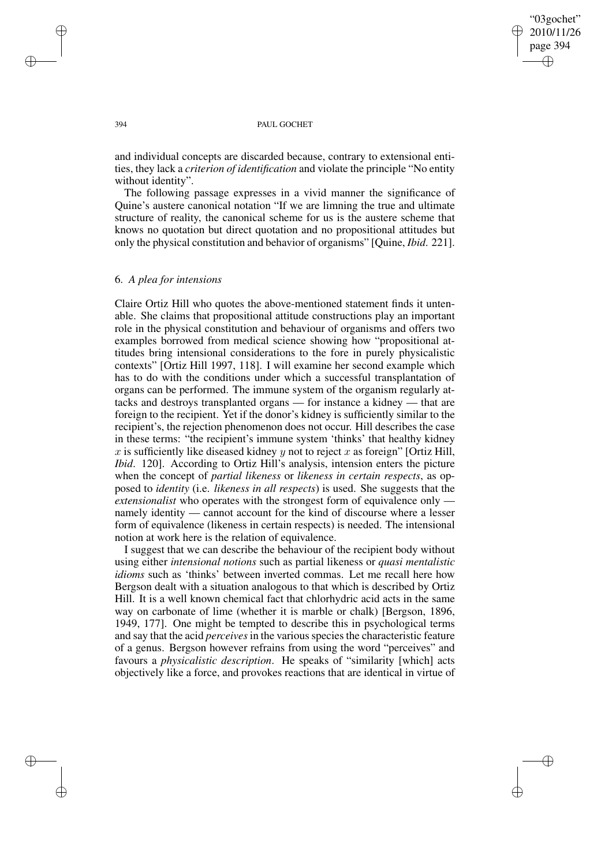✐

### 394 PAUL GOCHET

and individual concepts are discarded because, contrary to extensional entities, they lack a *criterion of identification* and violate the principle "No entity without identity".

The following passage expresses in a vivid manner the significance of Quine's austere canonical notation "If we are limning the true and ultimate structure of reality, the canonical scheme for us is the austere scheme that knows no quotation but direct quotation and no propositional attitudes but only the physical constitution and behavior of organisms" [Quine, *Ibid*. 221].

## 6. *A plea for intensions*

Claire Ortiz Hill who quotes the above-mentioned statement finds it untenable. She claims that propositional attitude constructions play an important role in the physical constitution and behaviour of organisms and offers two examples borrowed from medical science showing how "propositional attitudes bring intensional considerations to the fore in purely physicalistic contexts" [Ortiz Hill 1997, 118]. I will examine her second example which has to do with the conditions under which a successful transplantation of organs can be performed. The immune system of the organism regularly attacks and destroys transplanted organs — for instance a kidney — that are foreign to the recipient. Yet if the donor's kidney is sufficiently similar to the recipient's, the rejection phenomenon does not occur. Hill describes the case in these terms: "the recipient's immune system 'thinks' that healthy kidney x is sufficiently like diseased kidney y not to reject x as foreign" [Ortiz Hill, *Ibid*. 120]. According to Ortiz Hill's analysis, intension enters the picture when the concept of *partial likeness* or *likeness in certain respects*, as opposed to *identity* (i.e. *likeness in all respects*) is used. She suggests that the *extensionalist* who operates with the strongest form of equivalence only namely identity — cannot account for the kind of discourse where a lesser form of equivalence (likeness in certain respects) is needed. The intensional notion at work here is the relation of equivalence.

I suggest that we can describe the behaviour of the recipient body without using either *intensional notions* such as partial likeness or *quasi mentalistic idioms* such as 'thinks' between inverted commas. Let me recall here how Bergson dealt with a situation analogous to that which is described by Ortiz Hill. It is a well known chemical fact that chlorhydric acid acts in the same way on carbonate of lime (whether it is marble or chalk) [Bergson, 1896, 1949, 177]. One might be tempted to describe this in psychological terms and say that the acid *perceives* in the various species the characteristic feature of a genus. Bergson however refrains from using the word "perceives" and favours a *physicalistic description*. He speaks of "similarity [which] acts objectively like a force, and provokes reactions that are identical in virtue of

✐

✐

✐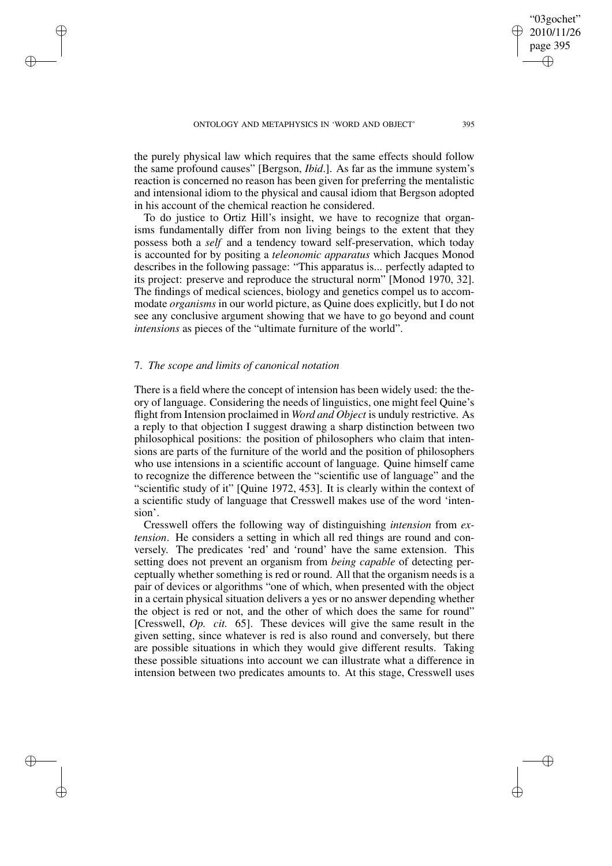the purely physical law which requires that the same effects should follow the same profound causes" [Bergson, *Ibid*.]. As far as the immune system's reaction is concerned no reason has been given for preferring the mentalistic and intensional idiom to the physical and causal idiom that Bergson adopted in his account of the chemical reaction he considered.

To do justice to Ortiz Hill's insight, we have to recognize that organisms fundamentally differ from non living beings to the extent that they possess both a *self* and a tendency toward self-preservation, which today is accounted for by positing a *teleonomic apparatus* which Jacques Monod describes in the following passage: "This apparatus is... perfectly adapted to its project: preserve and reproduce the structural norm" [Monod 1970, 32]. The findings of medical sciences, biology and genetics compel us to accommodate *organisms* in our world picture, as Quine does explicitly, but I do not see any conclusive argument showing that we have to go beyond and count *intensions* as pieces of the "ultimate furniture of the world".

# 7. *The scope and limits of canonical notation*

✐

✐

✐

✐

There is a field where the concept of intension has been widely used: the theory of language. Considering the needs of linguistics, one might feel Quine's flight from Intension proclaimed in *Word and Object* is unduly restrictive. As a reply to that objection I suggest drawing a sharp distinction between two philosophical positions: the position of philosophers who claim that intensions are parts of the furniture of the world and the position of philosophers who use intensions in a scientific account of language. Quine himself came to recognize the difference between the "scientific use of language" and the "scientific study of it" [Quine 1972, 453]. It is clearly within the context of a scientific study of language that Cresswell makes use of the word 'intension'.

Cresswell offers the following way of distinguishing *intension* from *extension*. He considers a setting in which all red things are round and conversely. The predicates 'red' and 'round' have the same extension. This setting does not prevent an organism from *being capable* of detecting perceptually whether something is red or round. All that the organism needs is a pair of devices or algorithms "one of which, when presented with the object in a certain physical situation delivers a yes or no answer depending whether the object is red or not, and the other of which does the same for round" [Cresswell, *Op. cit.* 65]. These devices will give the same result in the given setting, since whatever is red is also round and conversely, but there are possible situations in which they would give different results. Taking these possible situations into account we can illustrate what a difference in intension between two predicates amounts to. At this stage, Cresswell uses

"03gochet" 2010/11/26 page 395

✐

✐

✐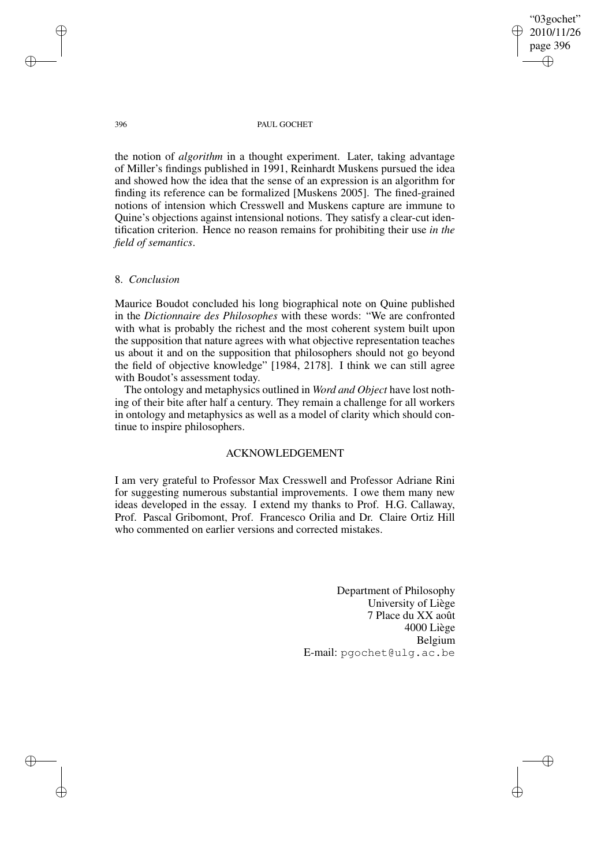"03gochet" 2010/11/26 page 396 ✐ ✐

✐

✐

#### 396 PAUL GOCHET

the notion of *algorithm* in a thought experiment. Later, taking advantage of Miller's findings published in 1991, Reinhardt Muskens pursued the idea and showed how the idea that the sense of an expression is an algorithm for finding its reference can be formalized [Muskens 2005]. The fined-grained notions of intension which Cresswell and Muskens capture are immune to Quine's objections against intensional notions. They satisfy a clear-cut identification criterion. Hence no reason remains for prohibiting their use *in the field of semantics*.

## 8. *Conclusion*

Maurice Boudot concluded his long biographical note on Quine published in the *Dictionnaire des Philosophes* with these words: "We are confronted with what is probably the richest and the most coherent system built upon the supposition that nature agrees with what objective representation teaches us about it and on the supposition that philosophers should not go beyond the field of objective knowledge" [1984, 2178]. I think we can still agree with Boudot's assessment today.

The ontology and metaphysics outlined in *Word and Object* have lost nothing of their bite after half a century. They remain a challenge for all workers in ontology and metaphysics as well as a model of clarity which should continue to inspire philosophers.

## ACKNOWLEDGEMENT

I am very grateful to Professor Max Cresswell and Professor Adriane Rini for suggesting numerous substantial improvements. I owe them many new ideas developed in the essay. I extend my thanks to Prof. H.G. Callaway, Prof. Pascal Gribomont, Prof. Francesco Orilia and Dr. Claire Ortiz Hill who commented on earlier versions and corrected mistakes.

> Department of Philosophy University of Liège 7 Place du XX août 4000 Liège Belgium E-mail: pgochet@ulg.ac.be

✐

✐

✐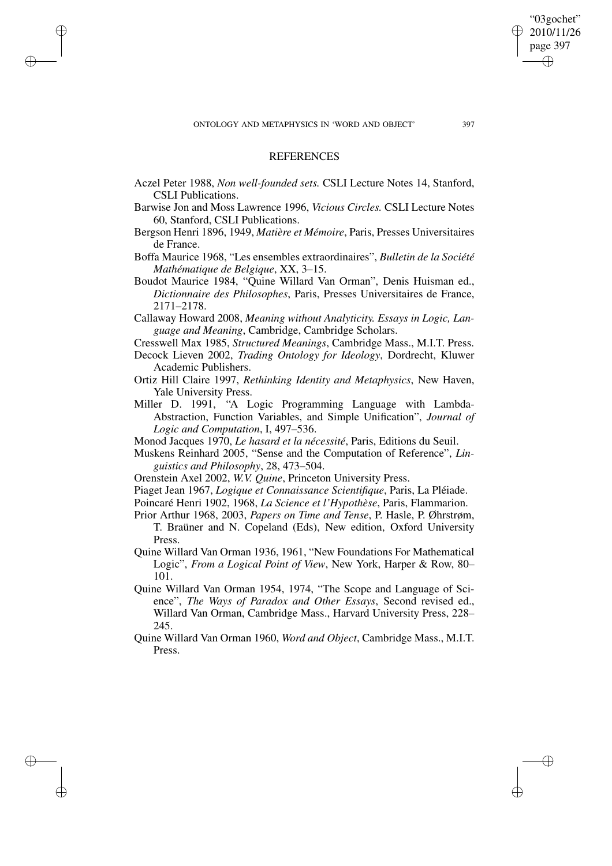✐

✐

✐

✐

✐

## **REFERENCES**

- Aczel Peter 1988, *Non well-founded sets.* CSLI Lecture Notes 14, Stanford, CSLI Publications.
- Barwise Jon and Moss Lawrence 1996, *Vicious Circles.* CSLI Lecture Notes 60, Stanford, CSLI Publications.
- Bergson Henri 1896, 1949, *Matière et Mémoire*, Paris, Presses Universitaires de France.
- Boffa Maurice 1968, "Les ensembles extraordinaires", *Bulletin de la Société Mathématique de Belgique*, XX, 3–15.
- Boudot Maurice 1984, "Quine Willard Van Orman", Denis Huisman ed., *Dictionnaire des Philosophes*, Paris, Presses Universitaires de France, 2171–2178.
- Callaway Howard 2008, *Meaning without Analyticity. Essays in Logic, Language and Meaning*, Cambridge, Cambridge Scholars.
- Cresswell Max 1985, *Structured Meanings*, Cambridge Mass., M.I.T. Press.
- Decock Lieven 2002, *Trading Ontology for Ideology*, Dordrecht, Kluwer Academic Publishers.
- Ortiz Hill Claire 1997, *Rethinking Identity and Metaphysics*, New Haven, Yale University Press.
- Miller D. 1991, "A Logic Programming Language with Lambda-Abstraction, Function Variables, and Simple Unification", *Journal of Logic and Computation*, I, 497–536.
- Monod Jacques 1970, *Le hasard et la nécessité*, Paris, Editions du Seuil.
- Muskens Reinhard 2005, "Sense and the Computation of Reference", *Linguistics and Philosophy*, 28, 473–504.
- Orenstein Axel 2002, *W.V. Quine*, Princeton University Press.
- Piaget Jean 1967, *Logique et Connaissance Scientifique*, Paris, La Pléiade.
- Poincaré Henri 1902, 1968, *La Science et l'Hypothèse*, Paris, Flammarion.
- Prior Arthur 1968, 2003, *Papers on Time and Tense*, P. Hasle, P. Øhrstrøm, T. Braüner and N. Copeland (Eds), New edition, Oxford University Press.
- Quine Willard Van Orman 1936, 1961, "New Foundations For Mathematical Logic", *From a Logical Point of View*, New York, Harper & Row, 80– 101.
- Quine Willard Van Orman 1954, 1974, "The Scope and Language of Science", *The Ways of Paradox and Other Essays*, Second revised ed., Willard Van Orman, Cambridge Mass., Harvard University Press, 228– 245.
- Quine Willard Van Orman 1960, *Word and Object*, Cambridge Mass., M.I.T. Press.